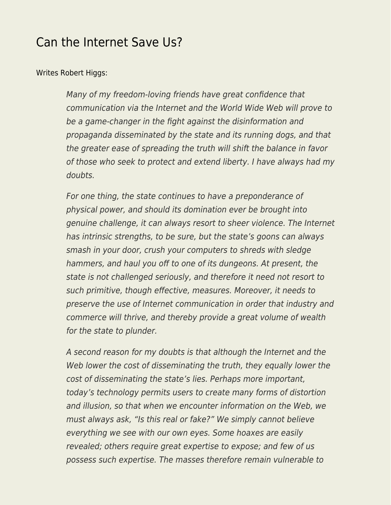## [Can the Internet Save Us?](https://everything-voluntary.com/can-the-internet-save-us)

## [Writes Robert Higgs:](http://blog.independent.org/2013/02/14/can-the-internet-save-us/)

Many of my freedom-loving friends have great confidence that communication via the Internet and the World Wide Web will prove to be a game-changer in the fight against the disinformation and propaganda disseminated by the state and its running dogs, and that the greater ease of spreading the truth will shift the balance in favor of those who seek to protect and extend liberty. I have always had my doubts.

For one thing, the state continues to have a preponderance of physical power, and should its domination ever be brought into genuine challenge, it can always resort to sheer violence. The Internet has intrinsic strengths, to be sure, but the state's goons can always smash in your door, crush your computers to shreds with sledge hammers, and haul you off to one of its dungeons. At present, the state is not challenged seriously, and therefore it need not resort to such primitive, though effective, measures. Moreover, it needs to preserve the use of Internet communication in order that industry and commerce will thrive, and thereby provide a great volume of wealth for the state to plunder.

A second reason for my doubts is that although the Internet and the Web lower the cost of disseminating the truth, they equally lower the cost of disseminating the state's lies. Perhaps more important, today's technology permits users to create many forms of distortion and illusion, so that when we encounter information on the Web, we must always ask, "Is this real or fake?" We simply cannot believe everything we see with our own eyes. Some hoaxes are easily revealed; others require great expertise to expose; and few of us possess such expertise. The masses therefore remain vulnerable to